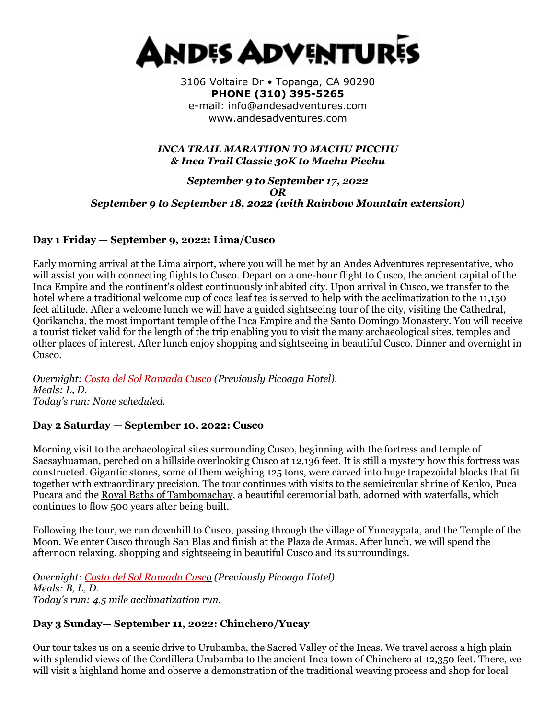

3106 Voltaire Dr • Topanga, CA 90290 **PHONE (310) 395-5265**  e-mail: info@andesadventures.com www.andesadventures.com

#### *INCA TRAIL MARATHON TO MACHU PICCHU & Inca Trail Classic 30K to Machu Picchu*

#### *September 9 to September 17, 2022 OR September 9 to September 18, 2022 (with Rainbow Mountain extension)*

#### **Day 1 Friday — September 9, 2022: Lima/Cusco**

Early morning arrival at the Lima airport, where you will be met by an Andes Adventures representative, who will assist you with connecting flights to Cusco. Depart on a one-hour flight to Cusco, the ancient capital of the Inca Empire and the continent's oldest continuously inhabited city. Upon arrival in Cusco, we transfer to the hotel where a traditional welcome cup of coca leaf tea is served to help with the acclimatization to the 11,150 feet altitude. After a welcome lunch we will have a guided sightseeing tour of the city, visiting the Cathedral, Qorikancha, the most important temple of the Inca Empire and the Santo Domingo Monastery. You will receive a tourist ticket valid for the length of the trip enabling you to visit the many archaeological sites, temples and other places of interest. After lunch enjoy shopping and sightseeing in beautiful Cusco. Dinner and overnight in Cusco.

*Overnight: [Costa del Sol Ramada Cusco](http://www.costadelsolperu.com/peru/hotels/cusco/) (Previously Picoaga Hotel). Meals: L, D. Today's run: None scheduled.*

#### **Day 2 Saturday — September 10, 2022: Cusco**

Morning visit to the archaeological sites surrounding Cusco, beginning with the fortress and temple of Sacsayhuaman, perched on a hillside overlooking Cusco at 12,136 feet. It is still a mystery how this fortress was constructed. Gigantic stones, some of them weighing 125 tons, were carved into huge trapezoidal blocks that fit together with extraordinary precision. The tour continues with visits to the semicircular shrine of Kenko, Puca Pucara and the [Royal Baths of Tambomachay,](https://www.andesadventures.com/images/Tambomachayb.jpg) a beautiful ceremonial bath, adorned with waterfalls, which continues to flow 500 years after being built.

Following the tour, we run downhill to Cusco, passing through the village of Yuncaypata, and the Temple of the Moon. We enter Cusco through San Blas and finish at the Plaza de Armas. After lunch, we will spend the afternoon relaxing, shopping and sightseeing in beautiful Cusco and its surroundings.

*Overnight: [Costa del Sol Ramada Cusco](http://www.costadelsolperu.com/peru/hotels/cusco/) (Previously Picoaga Hotel). Meals: B, L, D. Today's run: 4.5 mile acclimatization run.*

## **Day 3 Sunday— September 11, 2022: Chinchero/Yucay**

Our tour takes us on a scenic drive to Urubamba, the Sacred Valley of the Incas. We travel across a high plain with splendid views of the Cordillera Urubamba to the ancient Inca town of Chinchero at 12,350 feet. There, we will visit a highland home and observe a demonstration of the traditional weaving process and shop for local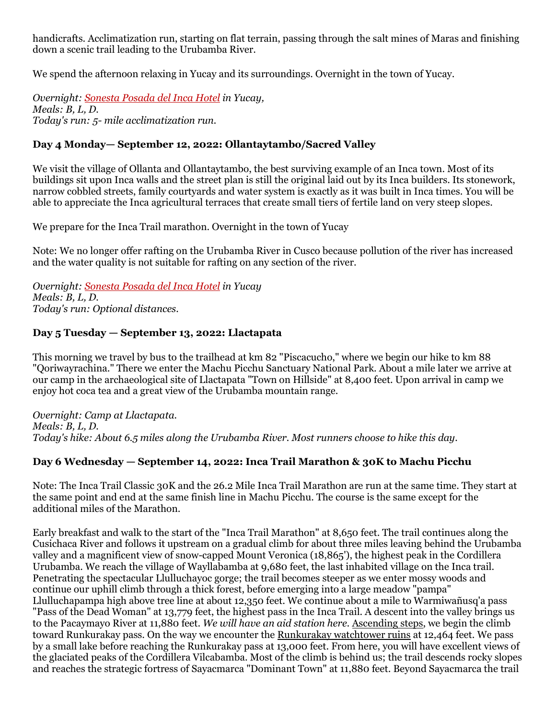handicrafts. Acclimatization run, starting on flat terrain, passing through the salt mines of Maras and finishing down a scenic trail leading to the Urubamba River.

We spend the afternoon relaxing in Yucay and its surroundings. Overnight in the town of Yucay.

*Overnight: [Sonesta Posada del Inca Hotel](http://www.sonesta.com/SacredValley/) in Yucay, Meals: B, L, D. Today's run: 5- mile acclimatization run.*

## **Day 4 Monday— September 12, 2022: Ollantaytambo/Sacred Valley**

We visit the village of Ollanta and Ollantaytambo, the best surviving example of an Inca town. Most of its buildings sit upon Inca walls and the street plan is still the original laid out by its Inca builders. Its stonework, narrow cobbled streets, family courtyards and water system is exactly as it was built in Inca times. You will be able to appreciate the Inca agricultural terraces that create small tiers of fertile land on very steep slopes.

We prepare for the Inca Trail marathon. Overnight in the town of Yucay

Note: We no longer offer rafting on the Urubamba River in Cusco because pollution of the river has increased and the water quality is not suitable for rafting on any section of the river.

*Overnight: [Sonesta Posada del Inca Hotel](http://www.sonesta.com/SacredValley/) in Yucay Meals: B, L, D. Today's run: Optional distances.*

## **Day 5 Tuesday — September 13, 2022: Llactapata**

This morning we travel by bus to the trailhead at km 82 "Piscacucho," where we begin our hike to km 88 "Qoriwayrachina." There we enter the Machu Picchu Sanctuary National Park. About a mile later we arrive at our camp in the archaeological site of Llactapata "Town on Hillside" at 8,400 feet. Upon arrival in camp we enjoy hot coca tea and a great view of the Urubamba mountain range.

*Overnight: Camp at Llactapata. Meals: B, L, D. Today's hike: About 6.5 miles along the Urubamba River. Most runners choose to hike this day.*

## **Day 6 Wednesday — September 14, 2022: Inca Trail Marathon & 30K to Machu Picchu**

Note: The Inca Trail Classic 30K and the 26.2 Mile Inca Trail Marathon are run at the same time. They start at the same point and end at the same finish line in Machu Picchu. The course is the same except for the additional miles of the Marathon.

Early breakfast and walk to the start of the "Inca Trail Marathon" at 8,650 feet. The trail continues along the Cusichaca River and follows it upstream on a gradual climb for about three miles leaving behind the Urubamba valley and a magnificent view of snow-capped Mount Veronica (18,865'), the highest peak in the Cordillera Urubamba. We reach the village of Wayllabamba at 9,680 feet, the last inhabited village on the Inca trail. Penetrating the spectacular Llulluchayoc gorge; the trail becomes steeper as we enter mossy woods and continue our uphill climb through a thick forest, before emerging into a large meadow "pampa" Llulluchapampa high above tree line at about 12,350 feet. We continue about a mile to Warmiwañusq'a pass "Pass of the Dead Woman" at 13,779 feet, the highest pass in the Inca Trail. A descent into the valley brings us to the Pacaymayo River at 11,880 feet. *We will have an aid station here.* [Ascending steps,](https://www.andesadventures.com/images/IncaTrailStepsb.jpg) we begin the climb toward Runkurakay pass. On the way we encounter the [Runkurakay watchtower ruins](https://www.andesadventures.com/images/RunkurakayTowerb.jpg) at 12,464 feet. We pass by a small lake before reaching the Runkurakay pass at 13,000 feet. From here, you will have excellent views of the glaciated peaks of the Cordillera Vilcabamba. Most of the climb is behind us; the trail descends rocky slopes and reaches the strategic fortress of Sayacmarca "Dominant Town" at 11,880 feet. Beyond Sayacmarca the trail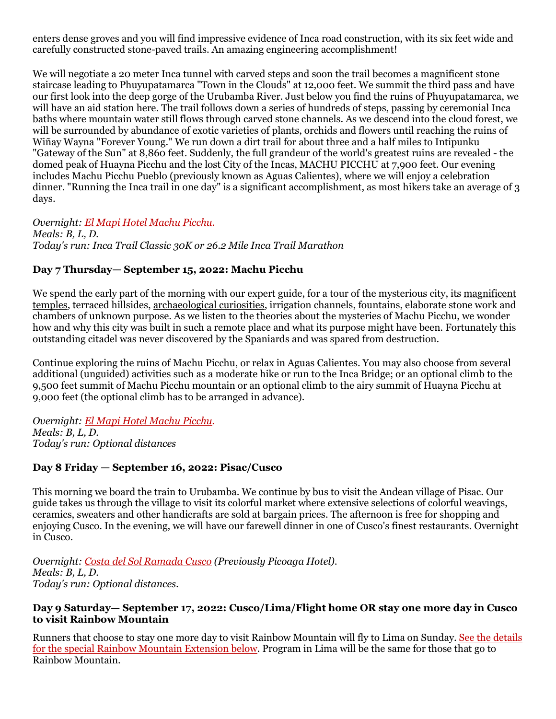enters dense groves and you will find impressive evidence of Inca road construction, with its six feet wide and carefully constructed stone-paved trails. An amazing engineering accomplishment!

We will negotiate a 20 meter Inca tunnel with carved steps and soon the trail becomes a magnificent stone staircase leading to Phuyupatamarca "Town in the Clouds" at 12,000 feet. We summit the third pass and have our first look into the deep gorge of the Urubamba River. Just below you find the ruins of Phuyupatamarca, we will have an aid station here. The trail follows down a series of hundreds of steps, passing by ceremonial Inca baths where mountain water still flows through carved stone channels. As we descend into the cloud forest, we will be surrounded by abundance of exotic varieties of plants, orchids and flowers until reaching the ruins of Wiñay Wayna "Forever Young." We run down a dirt trail for about three and a half miles to Intipunku "Gateway of the Sun" at 8,860 feet. Suddenly, the full grandeur of the world's greatest ruins are revealed - the domed peak of Huayna Picchu and [the lost City of the Incas, MACHU PICCHU](https://www.andesadventures.com/images/machupicchutrek02b.jpg) at 7,900 feet. Our evening includes Machu Picchu Pueblo (previously known as Aguas Calientes), where we will enjoy a celebration dinner. "Running the Inca trail in one day" is a significant accomplishment, as most hikers take an average of 3 days.

*Overnight: [El Mapi Hotel Machu Picchu.](http://www.elmapihotel.com/) Meals: B, L, D. Today's run: Inca Trail Classic 30K or 26.2 Mile Inca Trail Marathon*

## **Day 7 Thursday— September 15, 2022: Machu Picchu**

We spend the early part of the morning with our expert guide, for a tour of the mysterious city, its magnificent [temples,](https://www.andesadventures.com/images/TempleSunb.jpg) terraced hillsides, [archaeological curiosities,](https://www.andesadventures.com/images/ga_Intihuatanab.jpg) irrigation channels, fountains, elaborate stone work and chambers of unknown purpose. As we listen to the theories about the mysteries of Machu Picchu, we wonder how and why this city was built in such a remote place and what its purpose might have been. Fortunately this outstanding citadel was never discovered by the Spaniards and was spared from destruction.

Continue exploring the ruins of Machu Picchu, or relax in Aguas Calientes. You may also choose from several additional (unguided) activities such as a moderate hike or run to the Inca Bridge; or an optional climb to the 9,500 feet summit of Machu Picchu mountain or an optional climb to the airy summit of Huayna Picchu at 9,000 feet (the optional climb has to be arranged in advance).

*Overnight: El Mapi [Hotel Machu Picchu.](http://www.elmapihotel.com/) Meals: B, L, D. Today's run: Optional distances*

## **Day 8 Friday — September 16, 2022: Pisac/Cusco**

This morning we board the train to Urubamba. We continue by bus to visit the Andean village of Pisac. Our guide takes us through the village to visit its colorful market where extensive selections of colorful weavings, ceramics, sweaters and other handicrafts are sold at bargain prices. The afternoon is free for shopping and enjoying Cusco. In the evening, we will have our farewell dinner in one of Cusco's finest restaurants. Overnight in Cusco.

*Overnight: [Costa del Sol Ramada Cusco](http://www.costadelsolperu.com/peru/hotels/cusco/) (Previously Picoaga Hotel). Meals: B, L, D. Today's run: Optional distances.*

#### **Day 9 Saturday— September 17, 2022: Cusco/Lima/Flight home OR stay one more day in Cusco to visit Rainbow Mountain**

Runners that choose to stay one more day to visit Rainbow Mountain will fly to Lima on Sunday. See the details for the special Rainbow Mountain Extension below. Program in Lima will be the same for those that go to Rainbow Mountain.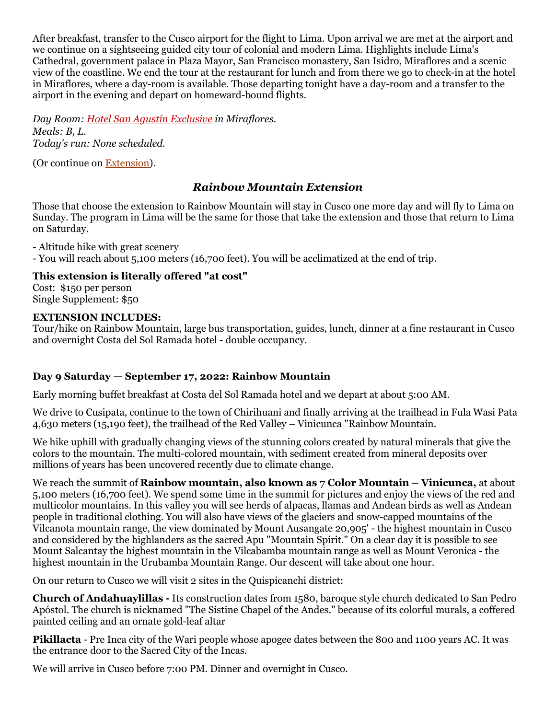After breakfast, transfer to the Cusco airport for the flight to Lima. Upon arrival we are met at the airport and we continue on a sightseeing guided city tour of colonial and modern Lima. Highlights include Lima's Cathedral, government palace in Plaza Mayor, San Francisco monastery, San Isidro, Miraflores and a scenic view of the coastline. We end the tour at the restaurant for lunch and from there we go to check-in at the hotel in Miraflores, where a day-room is available. Those departing tonight have a day-room and a transfer to the airport in the evening and depart on homeward-bound flights.

*Day Room: [Hotel San Agustín Exclusive](http://www.hotelessanagustin.com.pe/hotel_exclusive_miraflores.htm) in Miraflores. Meals: B, L. Today's run: None scheduled.*

(Or continue on [Extension\)](https://www.andesadventures.com/extensions.htm).

# *Rainbow Mountain Extension*

Those that choose the extension to Rainbow Mountain will stay in Cusco one more day and will fly to Lima on Sunday. The program in Lima will be the same for those that take the extension and those that return to Lima on Saturday.

- Altitude hike with great scenery - You will reach about 5,100 meters (16,700 feet). You will be acclimatized at the end of trip.

## **This extension is literally offered "at cost"**

Cost: \$150 per person Single Supplement: \$50

#### **EXTENSION INCLUDES:**

Tour/hike on Rainbow Mountain, large bus transportation, guides, lunch, dinner at a fine restaurant in Cusco and overnight Costa del Sol Ramada hotel - double occupancy.

## **Day 9 Saturday — September 17, 2022: Rainbow Mountain**

Early morning buffet breakfast at Costa del Sol Ramada hotel and we depart at about 5:00 AM.

We drive to Cusipata, continue to the town of Chirihuani and finally arriving at the trailhead in Fula Wasi Pata 4,630 meters (15,190 feet), the trailhead of the Red Valley – Vinicunca "Rainbow Mountain.

We hike uphill with gradually changing views of the stunning colors created by natural minerals that give the colors to the mountain. The multi-colored mountain, with sediment created from mineral deposits over millions of years has been uncovered recently due to climate change.

We reach the summit of **Rainbow mountain, also known as 7 Color Mountain – Vinicunca,** at about 5,100 meters (16,700 feet). We spend some time in the summit for pictures and enjoy the views of the red and multicolor mountains. In this valley you will see herds of alpacas, llamas and Andean birds as well as Andean people in traditional clothing. You will also have views of the glaciers and snow-capped mountains of the Vilcanota mountain range, the view dominated by Mount Ausangate 20,905' - the highest mountain in Cusco and considered by the highlanders as the sacred Apu "Mountain Spirit." On a clear day it is possible to see Mount Salcantay the highest mountain in the Vilcabamba mountain range as well as Mount Veronica - the highest mountain in the Urubamba Mountain Range. Our descent will take about one hour.

On our return to Cusco we will visit 2 sites in the Quispicanchi district:

**Church of Andahuaylillas -** Its construction dates from 1580, baroque style church dedicated to San Pedro Apóstol. The church is nicknamed "The Sistine Chapel of the Andes." because of its colorful murals, a coffered painted ceiling and an ornate gold-leaf altar

**Pikillacta** - Pre Inca city of the Wari people whose apogee dates between the 800 and 1100 years AC. It was the entrance door to the Sacred City of the Incas.

We will arrive in Cusco before 7:00 PM. Dinner and overnight in Cusco.